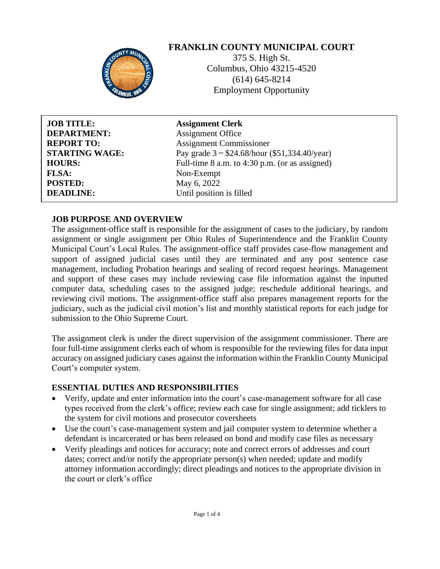# **FRANKLIN COUNTY MUNICIPAL COURT**



375 S. High St. Columbus, Ohio 43215-4520 (614) 645-8214 Employment Opportunity

| <b>JOB TITLE:</b>     |
|-----------------------|
| <b>DEPARTMENT:</b>    |
| <b>REPORT TO:</b>     |
| <b>STARTING WAGE:</b> |
| <b>HOURS:</b>         |
| <b>FLSA:</b>          |
| <b>POSTED:</b>        |
| <b>DEADLINE:</b>      |

**Assignment Clerk Assignment Office Assignment Commissioner** Pay grade  $3 - $24.68$ /hour (\$51,334.40/year) Full-time 8 a.m. to 4:30 p.m. (or as assigned) Non-Exempt **May 6, 2022** Until position is filled

### **JOB PURPOSE AND OVERVIEW**

The assignment-office staff is responsible for the assignment of cases to the judiciary, by random assignment or single assignment per Ohio Rules of Superintendence and the Franklin County Municipal Court's Local Rules. The assignment-office staff provides case-flow management and support of assigned judicial cases until they are terminated and any post sentence case management, including Probation hearings and sealing of record request hearings. Management and support of these cases may include reviewing case file information against the inputted computer data, scheduling cases to the assigned judge; reschedule additional hearings, and reviewing civil motions. The assignment-office staff also prepares management reports for the judiciary, such as the judicial civil motion's list and monthly statistical reports for each judge for submission to the Ohio Supreme Court.

The assignment clerk is under the direct supervision of the assignment commissioner. There are four full-time assignment clerks each of whom is responsible for the reviewing files for data input accuracy on assigned judiciary cases against the information within the Franklin County Municipal Court's computer system.

### **ESSENTIAL DUTIES AND RESPONSIBILITIES**

- Verify, update and enter information into the court's case-management software for all case types received from the clerk's office; review each case for single assignment; add ticklers to the system for civil motions and prosecutor coversheets
- Use the court's case-management system and jail computer system to determine whether a defendant is incarcerated or has been released on bond and modify case files as necessary
- Verify pleadings and notices for accuracy; note and correct errors of addresses and court dates; correct and/or notify the appropriate person(s) when needed; update and modify attorney information accordingly; direct pleadings and notices to the appropriate division in the court or clerk's office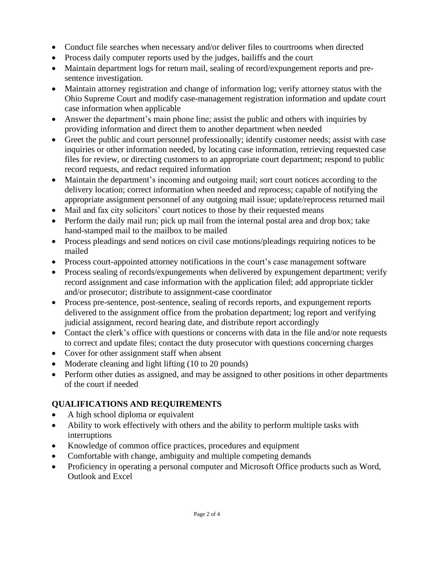- Conduct file searches when necessary and/or deliver files to courtrooms when directed
- Process daily computer reports used by the judges, bailiffs and the court
- Maintain department logs for return mail, sealing of record/expungement reports and presentence investigation.
- Maintain attorney registration and change of information log; verify attorney status with the Ohio Supreme Court and modify case-management registration information and update court case information when applicable
- Answer the department's main phone line; assist the public and others with inquiries by providing information and direct them to another department when needed
- Greet the public and court personnel professionally; identify customer needs; assist with case inquiries or other information needed, by locating case information, retrieving requested case files for review, or directing customers to an appropriate court department; respond to public record requests, and redact required information
- Maintain the department's incoming and outgoing mail; sort court notices according to the delivery location; correct information when needed and reprocess; capable of notifying the appropriate assignment personnel of any outgoing mail issue; update/reprocess returned mail
- Mail and fax city solicitors' court notices to those by their requested means
- Perform the daily mail run; pick up mail from the internal postal area and drop box; take hand-stamped mail to the mailbox to be mailed
- Process pleadings and send notices on civil case motions/pleadings requiring notices to be mailed
- Process court-appointed attorney notifications in the court's case management software
- Process sealing of records/expungements when delivered by expungement department; verify record assignment and case information with the application filed; add appropriate tickler and/or prosecutor; distribute to assignment-case coordinator
- Process pre-sentence, post-sentence, sealing of records reports, and expungement reports delivered to the assignment office from the probation department; log report and verifying judicial assignment, record hearing date, and distribute report accordingly
- Contact the clerk's office with questions or concerns with data in the file and/or note requests to correct and update files; contact the duty prosecutor with questions concerning charges
- Cover for other assignment staff when absent
- Moderate cleaning and light lifting (10 to 20 pounds)
- Perform other duties as assigned, and may be assigned to other positions in other departments of the court if needed

# **QUALIFICATIONS AND REQUIREMENTS**

- A high school diploma or equivalent
- Ability to work effectively with others and the ability to perform multiple tasks with interruptions
- Knowledge of common office practices, procedures and equipment
- Comfortable with change, ambiguity and multiple competing demands
- Proficiency in operating a personal computer and Microsoft Office products such as Word, Outlook and Excel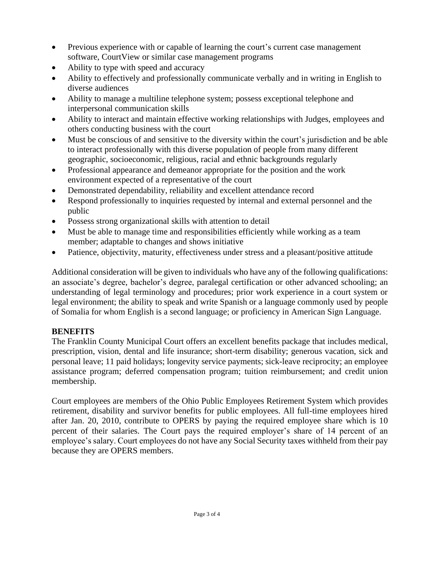- Previous experience with or capable of learning the court's current case management software, CourtView or similar case management programs
- Ability to type with speed and accuracy
- Ability to effectively and professionally communicate verbally and in writing in English to diverse audiences
- Ability to manage a multiline telephone system; possess exceptional telephone and interpersonal communication skills
- Ability to interact and maintain effective working relationships with Judges, employees and others conducting business with the court
- Must be conscious of and sensitive to the diversity within the court's jurisdiction and be able to interact professionally with this diverse population of people from many different geographic, socioeconomic, religious, racial and ethnic backgrounds regularly
- Professional appearance and demeanor appropriate for the position and the work environment expected of a representative of the court
- Demonstrated dependability, reliability and excellent attendance record
- Respond professionally to inquiries requested by internal and external personnel and the public
- Possess strong organizational skills with attention to detail
- Must be able to manage time and responsibilities efficiently while working as a team member; adaptable to changes and shows initiative
- Patience, objectivity, maturity, effectiveness under stress and a pleasant/positive attitude

Additional consideration will be given to individuals who have any of the following qualifications: an associate's degree, bachelor's degree, paralegal certification or other advanced schooling; an understanding of legal terminology and procedures; prior work experience in a court system or legal environment; the ability to speak and write Spanish or a language commonly used by people of Somalia for whom English is a second language; or proficiency in American Sign Language.

# **BENEFITS**

The Franklin County Municipal Court offers an excellent benefits package that includes medical, prescription, vision, dental and life insurance; short-term disability; generous vacation, sick and personal leave; 11 paid holidays; longevity service payments; sick-leave reciprocity; an employee assistance program; deferred compensation program; tuition reimbursement; and credit union membership.

Court employees are members of the Ohio Public Employees Retirement System which provides retirement, disability and survivor benefits for public employees. All full-time employees hired after Jan. 20, 2010, contribute to OPERS by paying the required employee share which is 10 percent of their salaries. The Court pays the required employer's share of 14 percent of an employee's salary. Court employees do not have any Social Security taxes withheld from their pay because they are OPERS members.